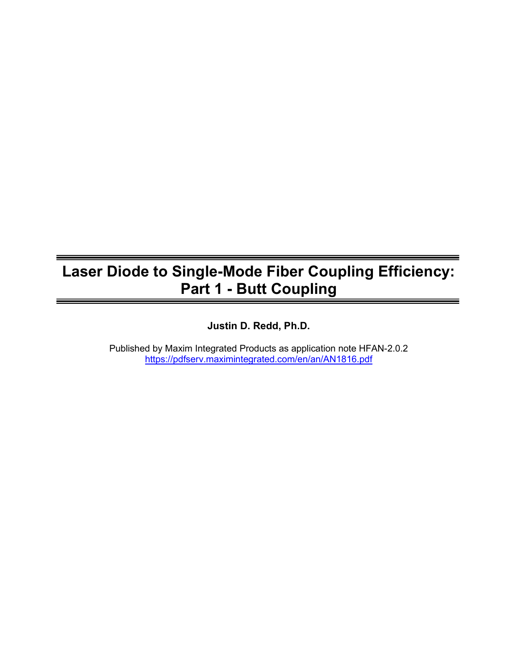# Laser Diode to Single-Mode Fiber Coupling Efficiency: Part 1 - Butt Coupling

Justin D. Redd, Ph.D.

Published by Maxim Integrated Products as application note HFAN-2.0.2 https://pdfserv.maximintegrated.com/en/an/AN1816.pdf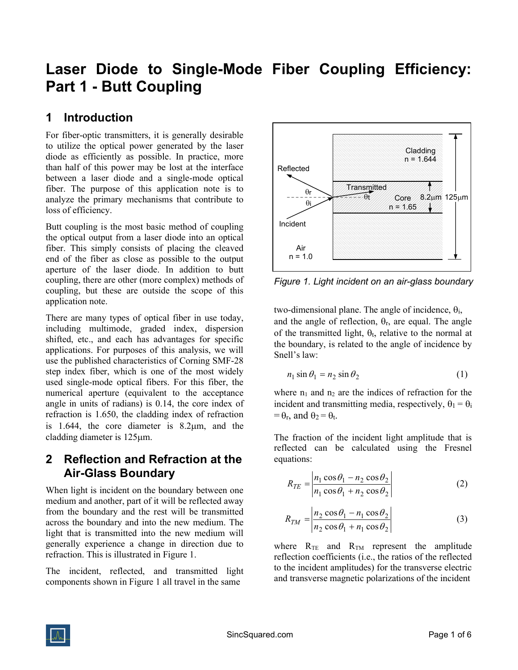# Laser Diode to Single-Mode Fiber Coupling Efficiency: Part 1 - Butt Coupling

#### 1 Introduction

For fiber-optic transmitters, it is generally desirable to utilize the optical power generated by the laser diode as efficiently as possible. In practice, more than half of this power may be lost at the interface between a laser diode and a single-mode optical fiber. The purpose of this application note is to analyze the primary mechanisms that contribute to loss of efficiency.

Butt coupling is the most basic method of coupling the optical output from a laser diode into an optical fiber. This simply consists of placing the cleaved end of the fiber as close as possible to the output aperture of the laser diode. In addition to butt coupling, there are other (more complex) methods of coupling, but these are outside the scope of this application note.

There are many types of optical fiber in use today, including multimode, graded index, dispersion shifted, etc., and each has advantages for specific applications. For purposes of this analysis, we will use the published characteristics of Corning SMF-28 step index fiber, which is one of the most widely used single-mode optical fibers. For this fiber, the numerical aperture (equivalent to the acceptance angle in units of radians) is 0.14, the core index of refraction is 1.650, the cladding index of refraction is 1.644, the core diameter is  $8.2 \mu m$ , and the cladding diameter is 125 $\mu$ m.

#### 2 Reflection and Refraction at the Air-Glass Boundary

When light is incident on the boundary between one medium and another, part of it will be reflected away from the boundary and the rest will be transmitted across the boundary and into the new medium. The light that is transmitted into the new medium will generally experience a change in direction due to refraction. This is illustrated in Figure 1.

The incident, reflected, and transmitted light components shown in Figure 1 all travel in the same



Figure 1. Light incident on an air-glass boundary

two-dimensional plane. The angle of incidence,  $\theta_i$ , and the angle of reflection,  $\theta_r$ , are equal. The angle of the transmitted light,  $\theta_t$ , relative to the normal at the boundary, is related to the angle of incidence by Snell's law:

$$
n_1 \sin \theta_1 = n_2 \sin \theta_2 \tag{1}
$$

where  $n_1$  and  $n_2$  are the indices of refraction for the incident and transmitting media, respectively,  $\theta_1 = \theta_i$  $= \theta_r$ , and  $\theta_2 = \theta_t$ .

The fraction of the incident light amplitude that is reflected can be calculated using the Fresnel equations:

$$
R_{TE} = \left| \frac{n_1 \cos \theta_1 - n_2 \cos \theta_2}{n_1 \cos \theta_1 + n_2 \cos \theta_2} \right| \tag{2}
$$

$$
R_{TM} = \left| \frac{n_2 \cos \theta_1 - n_1 \cos \theta_2}{n_2 \cos \theta_1 + n_1 \cos \theta_2} \right| \tag{3}
$$

where  $R_{TE}$  and  $R_{TM}$  represent the amplitude reflection coefficients (i.e., the ratios of the reflected to the incident amplitudes) for the transverse electric and transverse magnetic polarizations of the incident

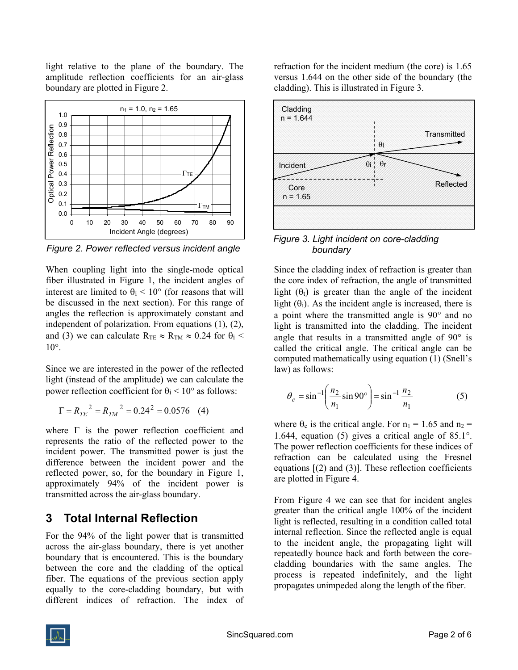light relative to the plane of the boundary. The amplitude reflection coefficients for an air-glass boundary are plotted in Figure 2.



Figure 2. Power reflected versus incident angle

When coupling light into the single-mode optical fiber illustrated in Figure 1, the incident angles of interest are limited to  $\theta_i$  < 10° (for reasons that will be discussed in the next section). For this range of angles the reflection is approximately constant and independent of polarization. From equations (1), (2), and (3) we can calculate  $R_{TE} \approx R_{TM} \approx 0.24$  for  $\theta_i$  <  $10^{\circ}$ .

Since we are interested in the power of the reflected light (instead of the amplitude) we can calculate the power reflection coefficient for  $\theta_i$  < 10° as follows:

$$
\Gamma = R_{TE}^2 = R_{TM}^2 = 0.24^2 = 0.0576 \quad (4)
$$

where  $\Gamma$  is the power reflection coefficient and represents the ratio of the reflected power to the incident power. The transmitted power is just the difference between the incident power and the reflected power, so, for the boundary in Figure 1, approximately 94% of the incident power is transmitted across the air-glass boundary.

#### 3 Total Internal Reflection

For the 94% of the light power that is transmitted across the air-glass boundary, there is yet another boundary that is encountered. This is the boundary between the core and the cladding of the optical fiber. The equations of the previous section apply equally to the core-cladding boundary, but with different indices of refraction. The index of refraction for the incident medium (the core) is 1.65 versus 1.644 on the other side of the boundary (the cladding). This is illustrated in Figure 3.



Figure 3. Light incident on core-cladding boundary

Since the cladding index of refraction is greater than the core index of refraction, the angle of transmitted light  $(\theta_t)$  is greater than the angle of the incident light  $(\theta_i)$ . As the incident angle is increased, there is a point where the transmitted angle is  $90^{\circ}$  and no light is transmitted into the cladding. The incident angle that results in a transmitted angle of  $90^\circ$  is called the critical angle. The critical angle can be computed mathematically using equation (1) (Snell's law) as follows:

$$
\theta_c = \sin^{-1} \left( \frac{n_2}{n_1} \sin 90^\circ \right) = \sin^{-1} \frac{n_2}{n_1}
$$
 (5)

where  $\theta_c$  is the critical angle. For  $n_1 = 1.65$  and  $n_2 =$ 1.644, equation (5) gives a critical angle of  $85.1^{\circ}$ . The power reflection coefficients for these indices of refraction can be calculated using the Fresnel equations  $[(2)$  and  $(3)]$ . These reflection coefficients are plotted in Figure 4.

From Figure 4 we can see that for incident angles greater than the critical angle 100% of the incident light is reflected, resulting in a condition called total internal reflection. Since the reflected angle is equal to the incident angle, the propagating light will repeatedly bounce back and forth between the corecladding boundaries with the same angles. The process is repeated indefinitely, and the light propagates unimpeded along the length of the fiber.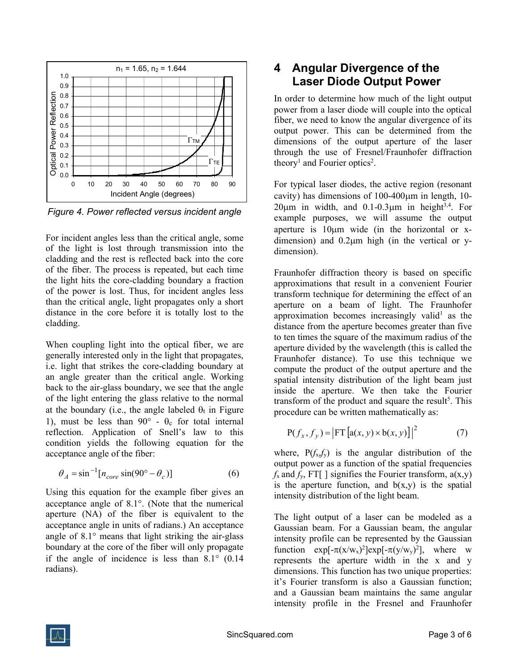

Figure 4. Power reflected versus incident angle

For incident angles less than the critical angle, some of the light is lost through transmission into the cladding and the rest is reflected back into the core of the fiber. The process is repeated, but each time the light hits the core-cladding boundary a fraction of the power is lost. Thus, for incident angles less than the critical angle, light propagates only a short distance in the core before it is totally lost to the cladding.

When coupling light into the optical fiber, we are generally interested only in the light that propagates, i.e. light that strikes the core-cladding boundary at an angle greater than the critical angle. Working back to the air-glass boundary, we see that the angle of the light entering the glass relative to the normal at the boundary (i.e., the angle labeled  $\theta_t$  in Figure 1), must be less than 90 $\degree$  -  $\theta_c$  for total internal reflection. Application of Snell's law to this condition yields the following equation for the acceptance angle of the fiber:

$$
\theta_A = \sin^{-1}[n_{core} \sin(90^\circ - \theta_c)] \tag{6}
$$

Using this equation for the example fiber gives an acceptance angle of  $8.1^\circ$ . (Note that the numerical aperture (NA) of the fiber is equivalent to the acceptance angle in units of radians.) An acceptance angle of  $8.1^\circ$  means that light striking the air-glass boundary at the core of the fiber will only propagate if the angle of incidence is less than  $8.1^\circ$  (0.14) radians).

## 4 Angular Divergence of the Laser Diode Output Power

In order to determine how much of the light output power from a laser diode will couple into the optical fiber, we need to know the angular divergence of its output power. This can be determined from the dimensions of the output aperture of the laser through the use of Fresnel/Fraunhofer diffraction theory<sup>1</sup> and Fourier optics<sup>2</sup>.

For typical laser diodes, the active region (resonant cavity) has dimensions of  $100-400 \mu m$  in length, 10- $20\mu m$  in width, and  $0.1$ - $0.3\mu m$  in height<sup>3,4</sup>. For example purposes, we will assume the output aperture is  $10\mu m$  wide (in the horizontal or xdimension) and  $0.2\mu m$  high (in the vertical or ydimension).

Fraunhofer diffraction theory is based on specific approximations that result in a convenient Fourier transform technique for determining the effect of an aperture on a beam of light. The Fraunhofer approximation becomes increasingly valid<sup>1</sup> as the distance from the aperture becomes greater than five to ten times the square of the maximum radius of the aperture divided by the wavelength (this is called the Fraunhofer distance). To use this technique we compute the product of the output aperture and the spatial intensity distribution of the light beam just inside the aperture. We then take the Fourier transform of the product and square the result<sup>5</sup>. This procedure can be written mathematically as:

$$
P(f_x, f_y) = |FT\left[a(x, y) \times b(x, y)\right]|^2 \tag{7}
$$

where,  $P(f_x, f_y)$  is the angular distribution of the output power as a function of the spatial frequencies  $f_x$  and  $f_y$ , FT[ ] signifies the Fourier transform,  $a(x,y)$ is the aperture function, and  $b(x,y)$  is the spatial intensity distribution of the light beam.

The light output of a laser can be modeled as a Gaussian beam. For a Gaussian beam, the angular intensity profile can be represented by the Gaussian function  $exp[-\pi(x/w_x)^2]exp[-\pi(y/w_y)^2]$ , where w represents the aperture width in the x and y dimensions. This function has two unique properties: it's Fourier transform is also a Gaussian function; and a Gaussian beam maintains the same angular intensity profile in the Fresnel and Fraunhofer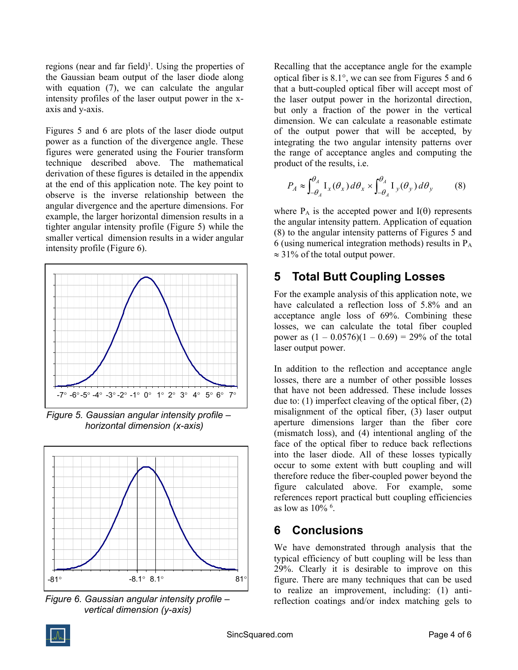regions (near and far field)<sup>1</sup>. Using the properties of the Gaussian beam output of the laser diode along with equation (7), we can calculate the angular intensity profiles of the laser output power in the xaxis and y-axis.

Figures 5 and 6 are plots of the laser diode output power as a function of the divergence angle. These figures were generated using the Fourier transform technique described above. The mathematical derivation of these figures is detailed in the appendix at the end of this application note. The key point to observe is the inverse relationship between the angular divergence and the aperture dimensions. For example, the larger horizontal dimension results in a tighter angular intensity profile (Figure 5) while the smaller vertical dimension results in a wider angular intensity profile (Figure 6).



Figure 5. Gaussian angular intensity profile – horizontal dimension (x-axis)



Figure 6. Gaussian angular intensity profile – vertical dimension (y-axis)

Recalling that the acceptance angle for the example optical fiber is  $8.1^\circ$ , we can see from Figures 5 and 6 that a butt-coupled optical fiber will accept most of the laser output power in the horizontal direction, but only a fraction of the power in the vertical dimension. We can calculate a reasonable estimate of the output power that will be accepted, by integrating the two angular intensity patterns over the range of acceptance angles and computing the product of the results, i.e.

$$
P_A \approx \int_{-\theta_A}^{\theta_A} I_x(\theta_x) d\theta_x \times \int_{-\theta_A}^{\theta_A} I_y(\theta_y) d\theta_y \tag{8}
$$

where  $P_A$  is the accepted power and  $I(\theta)$  represents the angular intensity pattern. Application of equation (8) to the angular intensity patterns of Figures 5 and 6 (using numerical integration methods) results in  $P_A$  $\approx$  31% of the total output power.

#### 5 Total Butt Coupling Losses

For the example analysis of this application note, we have calculated a reflection loss of 5.8% and an acceptance angle loss of 69%. Combining these losses, we can calculate the total fiber coupled power as  $(1 - 0.0576)(1 - 0.69) = 29%$  of the total laser output power.

In addition to the reflection and acceptance angle losses, there are a number of other possible losses that have not been addressed. These include losses due to: (1) imperfect cleaving of the optical fiber, (2) misalignment of the optical fiber, (3) laser output aperture dimensions larger than the fiber core (mismatch loss), and (4) intentional angling of the face of the optical fiber to reduce back reflections into the laser diode. All of these losses typically occur to some extent with butt coupling and will therefore reduce the fiber-coupled power beyond the figure calculated above. For example, some references report practical butt coupling efficiencies as low as  $10\%$  <sup>6</sup>.

### 6 Conclusions

We have demonstrated through analysis that the typical efficiency of butt coupling will be less than 29%. Clearly it is desirable to improve on this figure. There are many techniques that can be used to realize an improvement, including: (1) antireflection coatings and/or index matching gels to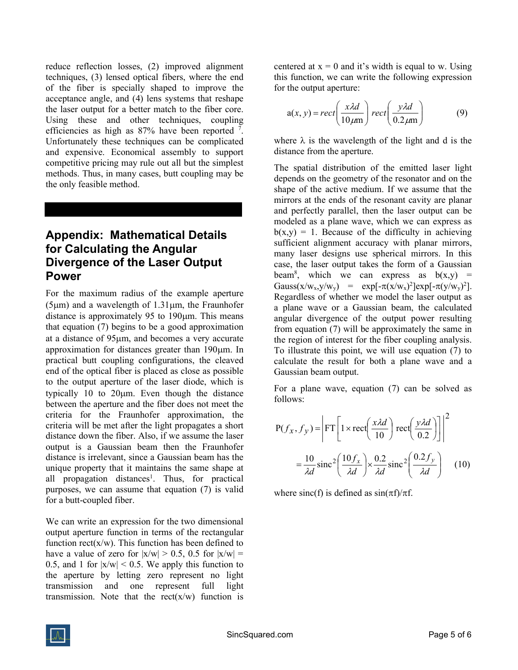reduce reflection losses, (2) improved alignment techniques, (3) lensed optical fibers, where the end of the fiber is specially shaped to improve the acceptance angle, and (4) lens systems that reshape the laser output for a better match to the fiber core. Using these and other techniques, coupling efficiencies as high as  $87%$  have been reported  $7$ . Unfortunately these techniques can be complicated and expensive. Economical assembly to support competitive pricing may rule out all but the simplest methods. Thus, in many cases, butt coupling may be the only feasible method.

#### Appendix: Mathematical Details for Calculating the Angular Divergence of the Laser Output Power

For the maximum radius of the example aperture  $(5 \mu m)$  and a wavelength of 1.31 $\mu$ m, the Fraunhofer distance is approximately 95 to 190um. This means that equation (7) begins to be a good approximation at a distance of 95 km, and becomes a very accurate approximation for distances greater than 190 $\mu$ m. In practical butt coupling configurations, the cleaved end of the optical fiber is placed as close as possible to the output aperture of the laser diode, which is typically 10 to 20m. Even though the distance between the aperture and the fiber does not meet the criteria for the Fraunhofer approximation, the criteria will be met after the light propagates a short distance down the fiber. Also, if we assume the laser output is a Gaussian beam then the Fraunhofer distance is irrelevant, since a Gaussian beam has the unique property that it maintains the same shape at all propagation distances<sup>1</sup>. Thus, for practical purposes, we can assume that equation (7) is valid for a butt-coupled fiber.

We can write an expression for the two dimensional output aperture function in terms of the rectangular function  $rect(x/w)$ . This function has been defined to have a value of zero for  $|x/w| > 0.5$ , 0.5 for  $|x/w| =$ 0.5, and 1 for  $|x/w|$  < 0.5. We apply this function to the aperture by letting zero represent no light transmission and one represent full light transmission. Note that the rect $(x/w)$  function is centered at  $x = 0$  and it's width is equal to w. Using this function, we can write the following expression for the output aperture:

$$
a(x, y) = rect\left(\frac{x\lambda d}{10\mu m}\right) rect\left(\frac{y\lambda d}{0.2\mu m}\right)
$$
 (9)

where  $\lambda$  is the wavelength of the light and d is the distance from the aperture.

The spatial distribution of the emitted laser light depends on the geometry of the resonator and on the shape of the active medium. If we assume that the mirrors at the ends of the resonant cavity are planar and perfectly parallel, then the laser output can be modeled as a plane wave, which we can express as  $b(x,y) = 1$ . Because of the difficulty in achieving sufficient alignment accuracy with planar mirrors, many laser designs use spherical mirrors. In this case, the laser output takes the form of a Gaussian beam<sup>8</sup>, which we can express as  $b(x,y)$  = Gauss(x/w<sub>x</sub>,y/w<sub>y</sub>) = exp[- $\pi$ (x/w<sub>x</sub>)<sup>2</sup>]exp[- $\pi$ (y/w<sub>y</sub>)<sup>2</sup>]. Regardless of whether we model the laser output as a plane wave or a Gaussian beam, the calculated angular divergence of the output power resulting from equation (7) will be approximately the same in the region of interest for the fiber coupling analysis. To illustrate this point, we will use equation (7) to calculate the result for both a plane wave and a Gaussian beam output.

For a plane wave, equation (7) can be solved as follows:

$$
P(f_x, f_y) = \left| FT \left[ 1 \times rect \left( \frac{x \lambda d}{10} \right) rect \left( \frac{y \lambda d}{0.2} \right) \right] \right|^2
$$

$$
= \frac{10}{\lambda d} sinc^2 \left( \frac{10 f_x}{\lambda d} \right) \times \frac{0.2}{\lambda d} sinc^2 \left( \frac{0.2 f_y}{\lambda d} \right) \quad (10)
$$

where sinc(f) is defined as  $sin(\pi f)/\pi f$ .